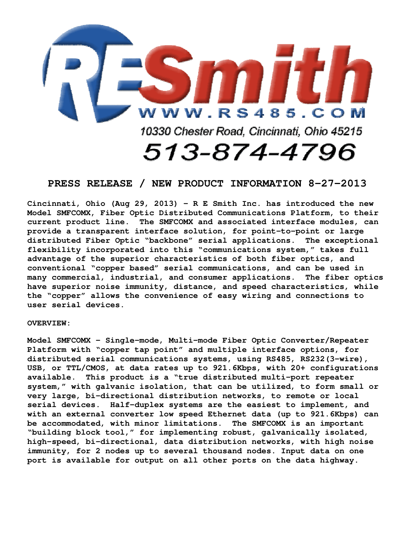

## **PRESS RELEASE / NEW PRODUCT INFORMATION 8-27-2013**

**Cincinnati, Ohio (Aug 29, 2013) - R E Smith Inc. has introduced the new Model SMFCOMX, Fiber Optic Distributed Communications Platform, to their current product line. The SMFCOMX and associated interface modules, can provide a transparent interface solution, for point-to-point or large distributed Fiber Optic "backbone" serial applications. The exceptional flexibility incorporated into this "communications system," takes full advantage of the superior characteristics of both fiber optics, and conventional "copper based" serial communications, and can be used in many commercial, industrial, and consumer applications. The fiber optics have superior noise immunity, distance, and speed characteristics, while the "copper" allows the convenience of easy wiring and connections to user serial devices.** 

## **OVERVIEW:**

**Model SMFCOMX - Single-mode, Multi-mode Fiber Optic Converter/Repeater Platform with "copper tap point" and multiple interface options, for distributed serial communications systems, using RS485, RS232(3-wire), USB, or TTL/CMOS, at data rates up to 921.6Kbps, with 20+ configurations available. This product is a "true distributed multi-port repeater system," with galvanic isolation, that can be utilized, to form small or very large, bi-directional distribution networks, to remote or local serial devices. Half-duplex systems are the easiest to implement, and with an external converter low speed Ethernet data (up to 921.6Kbps) can be accommodated, with minor limitations. The SMFCOMX is an important "building block tool," for implementing robust, galvanically isolated, high-speed, bi-directional, data distribution networks, with high noise immunity, for 2 nodes up to several thousand nodes. Input data on one port is available for output on all other ports on the data highway.**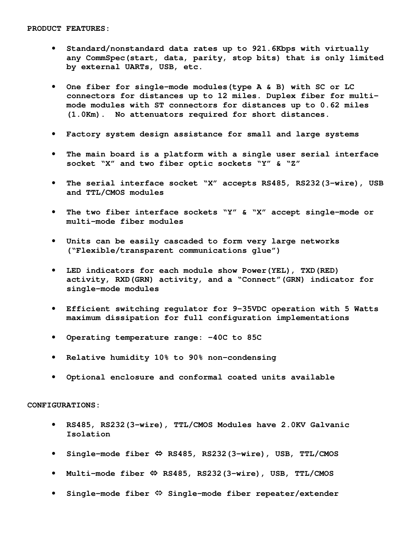- **Standard/nonstandard data rates up to 921.6Kbps with virtually any CommSpec(start, data, parity, stop bits) that is only limited by external UARTs, USB, etc.**
- **One fiber for single-mode modules(type A & B) with SC or LC connectors for distances up to 12 miles. Duplex fiber for multimode modules with ST connectors for distances up to 0.62 miles (1.0Km). No attenuators required for short distances.**
- **Factory system design assistance for small and large systems**
- **The main board is a platform with a single user serial interface socket "X" and two fiber optic sockets "Y" & "Z"**
- **The serial interface socket "X" accepts RS485, RS232(3-wire), USB and TTL/CMOS modules**
- **The two fiber interface sockets "Y" & "X" accept single-mode or multi-mode fiber modules**
- **Units can be easily cascaded to form very large networks ("Flexible/transparent communications glue")**
- **LED indicators for each module show Power(YEL), TXD(RED) activity, RXD(GRN) activity, and a "Connect"(GRN) indicator for single-mode modules**
- **Efficient switching regulator for 9-35VDC operation with 5 Watts maximum dissipation for full configuration implementations**
- **Operating temperature range: -40C to 85C**
- **Relative humidity 10% to 90% non-condensing**
- **Optional enclosure and conformal coated units available**

**CONFIGURATIONS:** 

- **RS485, RS232(3-wire), TTL/CMOS Modules have 2.0KV Galvanic Isolation**
- **Single-mode fiber RS485, RS232(3-wire), USB, TTL/CMOS**
- Multi-mode fiber  $\Leftrightarrow$  RS485, RS232(3-wire), USB, TTL/CMOS
- **Single-mode fiber Single-mode fiber repeater/extender**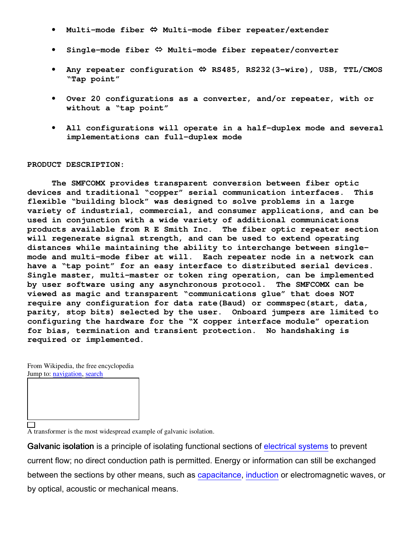- **Multi-mode fiber Multi-mode fiber repeater/extender**
- **Single-mode fiber Multi-mode fiber repeater/converter**
- **Any repeater configuration RS485, RS232(3-wire), USB, TTL/CMOS "Tap point"**
- **Over 20 configurations as a converter, and/or repeater, with or without a "tap point"**
- **All configurations will operate in a half-duplex mode and several implementations can full-duplex mode**

## **PRODUCT DESCRIPTION:**

 **The SMFCOMX provides transparent conversion between fiber optic devices and traditional "copper" serial communication interfaces. This flexible "building block" was designed to solve problems in a large variety of industrial, commercial, and consumer applications, and can be used in conjunction with a wide variety of additional communications products available from R E Smith Inc. The fiber optic repeater section will regenerate signal strength, and can be used to extend operating distances while maintaining the ability to interchange between singlemode and multi-mode fiber at will. Each repeater node in a network can have a "tap point" for an easy interface to distributed serial devices. Single master, multi-master or token ring operation, can be implemented by user software using any asynchronous protocol. The SMFCOMX can be viewed as magic and transparent "communications glue" that does NOT require any configuration for data rate(Baud) or commspec(start, data, parity, stop bits) selected by the user. Onboard jumpers are limited to configuring the hardware for the "X copper interface module" operation for bias, termination and transient protection. No handshaking is required or implemented.** 

From Wikipedia, the free encyclopedia Jump to: *navigation*, search

□

A transformer is the most widespread example of galvanic isolation.

Galvanic isolation is a principle of isolating functional sections of electrical systems to prevent current flow; no direct conduction path is permitted. Energy or information can still be exchanged between the sections by other means, such as capacitance, induction or electromagnetic waves, or by optical, acoustic or mechanical means.